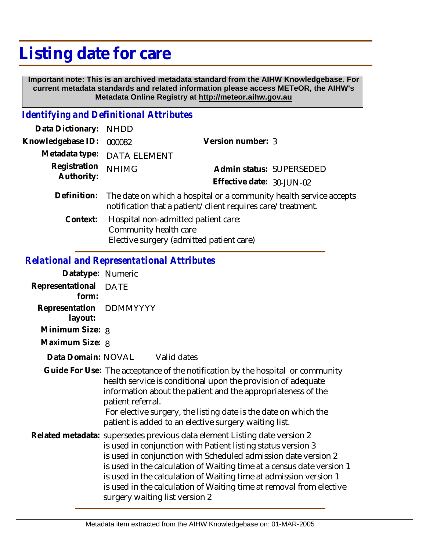## **Listing date for care**

 **Important note: This is an archived metadata standard from the AIHW Knowledgebase. For current metadata standards and related information please access METeOR, the AIHW's Metadata Online Registry at http://meteor.aihw.gov.au**

## *Identifying and Definitional Attributes*

| Data Dictionary: NHDD      |                                                                                                                                   |                           |                          |
|----------------------------|-----------------------------------------------------------------------------------------------------------------------------------|---------------------------|--------------------------|
| Knowledgebase ID:          | 000082                                                                                                                            | Version number: 3         |                          |
| Metadata type:             | <b>DATA ELEMENT</b>                                                                                                               |                           |                          |
| Registration<br>Authority: | <b>NHIMG</b>                                                                                                                      |                           | Admin status: SUPERSEDED |
|                            |                                                                                                                                   | Effective date: 30-JUN-02 |                          |
| Definition:                | The date on which a hospital or a community health service accepts<br>notification that a patient/client requires care/treatment. |                           |                          |
| Context:                   | Hospital non-admitted patient care:<br>Community health care                                                                      |                           |                          |

Elective surgery (admitted patient care)

## *Relational and Representational Attributes*

| Datatype: Numeric                  |                                                                                                                                                                                                                                                                                                                                                                                                                                                                    |  |  |
|------------------------------------|--------------------------------------------------------------------------------------------------------------------------------------------------------------------------------------------------------------------------------------------------------------------------------------------------------------------------------------------------------------------------------------------------------------------------------------------------------------------|--|--|
| Representational DATE<br>form:     |                                                                                                                                                                                                                                                                                                                                                                                                                                                                    |  |  |
| Representation DDMMYYYY<br>layout: |                                                                                                                                                                                                                                                                                                                                                                                                                                                                    |  |  |
| Minimum Size: 8                    |                                                                                                                                                                                                                                                                                                                                                                                                                                                                    |  |  |
| Maximum Size: 8                    |                                                                                                                                                                                                                                                                                                                                                                                                                                                                    |  |  |
| Data Domain: NOVAL                 | Valid dates                                                                                                                                                                                                                                                                                                                                                                                                                                                        |  |  |
|                                    | Guide For Use: The acceptance of the notification by the hospital or community<br>health service is conditional upon the provision of adequate<br>information about the patient and the appropriateness of the<br>patient referral.<br>For elective surgery, the listing date is the date on which the<br>patient is added to an elective surgery waiting list.                                                                                                    |  |  |
|                                    | Related metadata: supersedes previous data element Listing date version 2<br>is used in conjunction with Patient listing status version 3<br>is used in conjunction with Scheduled admission date version 2<br>is used in the calculation of Waiting time at a census date version 1<br>is used in the calculation of Waiting time at admission version 1<br>is used in the calculation of Waiting time at removal from elective<br>surgery waiting list version 2 |  |  |